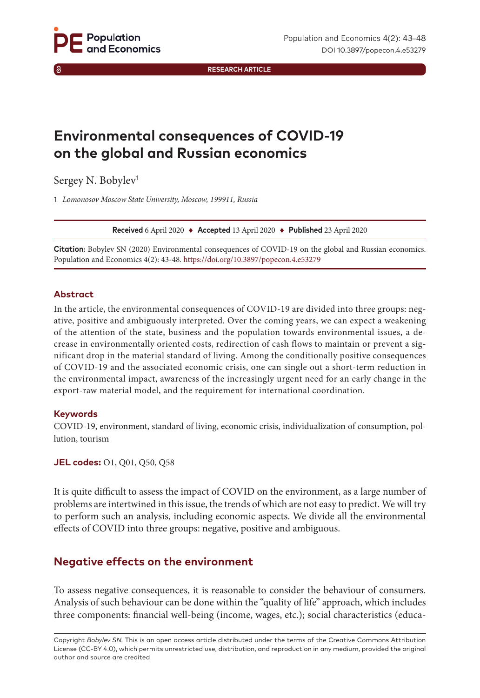**RESEARCH ARTICLE**

# **Environmental consequences of COVID-19 on the global and Russian economics**

Sergey N. Bobylev<sup>1</sup>

1 *Lomonosov Moscow State University, Moscow, 199911, Russia*

**Received** 6 April 2020 ♦ **Accepted** 13 April 2020 ♦ **Published** 23 April 2020

**Citation:** Bobylev SN (2020) Environmental consequences of COVID-19 on the global and Russian economics. Population and Economics 4(2): 43-48. <https://doi.org/10.3897/popecon.4.e53279>

### **Abstract**

In the article, the environmental consequences of COVID-19 are divided into three groups: negative, positive and ambiguously interpreted. Over the coming years, we can expect a weakening of the attention of the state, business and the population towards environmental issues, a decrease in environmentally oriented costs, redirection of cash flows to maintain or prevent a significant drop in the material standard of living. Among the conditionally positive consequences of COVID-19 and the associated economic crisis, one can single out a short-term reduction in the environmental impact, awareness of the increasingly urgent need for an early change in the export-raw material model, and the requirement for international coordination.

### **Keywords**

COVID-19, environment, standard of living, economic crisis, individualization of consumption, pollution, tourism

### **JEL codes:** O1, Q01, Q50, Q58

It is quite difficult to assess the impact of COVID on the environment, as a large number of problems are intertwined in this issue, the trends of which are not easy to predict. We will try to perform such an analysis, including economic aspects. We divide all the environmental effects of COVID into three groups: negative, positive and ambiguous.

# **Negative effects on the environment**

To assess negative consequences, it is reasonable to consider the behaviour of consumers. Analysis of such behaviour can be done within the "quality of life" approach, which includes three components: financial well-being (income, wages, etc.); social characteristics (educa-

Copyright *Bobylev SN.* This is an open access article distributed under the terms of the Creative Commons Attribution License (CC-BY 4.0), which permits unrestricted use, distribution, and reproduction in any medium, provided the original author and source are credited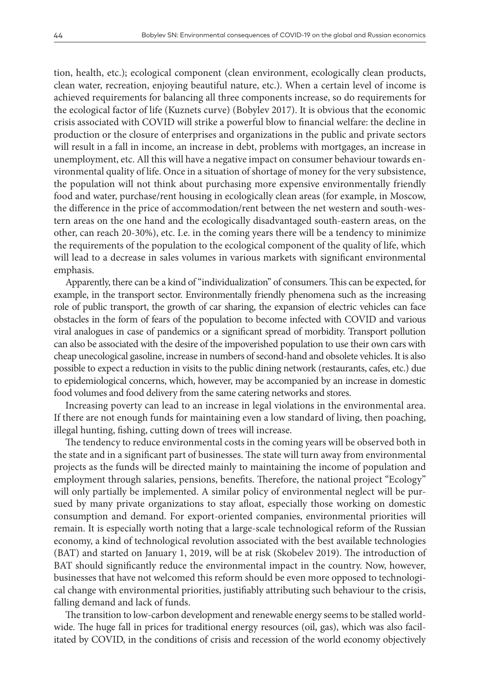tion, health, etc.); ecological component (clean environment, ecologically clean products, clean water, recreation, enjoying beautiful nature, etc.). When a certain level of income is achieved requirements for balancing all three components increase, so do requirements for the ecological factor of life (Kuznets curve) (Bobylev 2017). It is obvious that the economic crisis associated with COVID will strike a powerful blow to financial welfare: the decline in production or the closure of enterprises and organizations in the public and private sectors will result in a fall in income, an increase in debt, problems with mortgages, an increase in unemployment, etc. All this will have a negative impact on consumer behaviour towards environmental quality of life. Once in a situation of shortage of money for the very subsistence, the population will not think about purchasing more expensive environmentally friendly food and water, purchase/rent housing in ecologically clean areas (for example, in Moscow, the difference in the price of accommodation/rent between the net western and south-western areas on the one hand and the ecologically disadvantaged south-eastern areas, on the other, can reach 20-30%), etc. I.e. in the coming years there will be a tendency to minimize the requirements of the population to the ecological component of the quality of life, which will lead to a decrease in sales volumes in various markets with significant environmental emphasis.

Apparently, there can be a kind of "individualization" of consumers. This can be expected, for example, in the transport sector. Environmentally friendly phenomena such as the increasing role of public transport, the growth of car sharing, the expansion of electric vehicles can face obstacles in the form of fears of the population to become infected with COVID and various viral analogues in case of pandemics or a significant spread of morbidity. Transport pollution can also be associated with the desire of the impoverished population to use their own cars with cheap unecological gasoline, increase in numbers of second-hand and obsolete vehicles. It is also possible to expect a reduction in visits to the public dining network (restaurants, cafes, etc.) due to epidemiological concerns, which, however, may be accompanied by an increase in domestic food volumes and food delivery from the same catering networks and stores.

Increasing poverty can lead to an increase in legal violations in the environmental area. If there are not enough funds for maintaining even a low standard of living, then poaching, illegal hunting, fishing, cutting down of trees will increase.

The tendency to reduce environmental costs in the coming years will be observed both in the state and in a significant part of businesses. The state will turn away from environmental projects as the funds will be directed mainly to maintaining the income of population and employment through salaries, pensions, benefits. Therefore, the national project "Ecology" will only partially be implemented. A similar policy of environmental neglect will be pursued by many private organizations to stay afloat, especially those working on domestic consumption and demand. For export-oriented companies, environmental priorities will remain. It is especially worth noting that a large-scale technological reform of the Russian economy, a kind of technological revolution associated with the best available technologies (BAT) and started on January 1, 2019, will be at risk (Skobelev 2019). The introduction of BAT should significantly reduce the environmental impact in the country. Now, however, businesses that have not welcomed this reform should be even more opposed to technological change with environmental priorities, justifiably attributing such behaviour to the crisis, falling demand and lack of funds.

The transition to low-carbon development and renewable energy seems to be stalled worldwide. The huge fall in prices for traditional energy resources (oil, gas), which was also facilitated by COVID, in the conditions of crisis and recession of the world economy objectively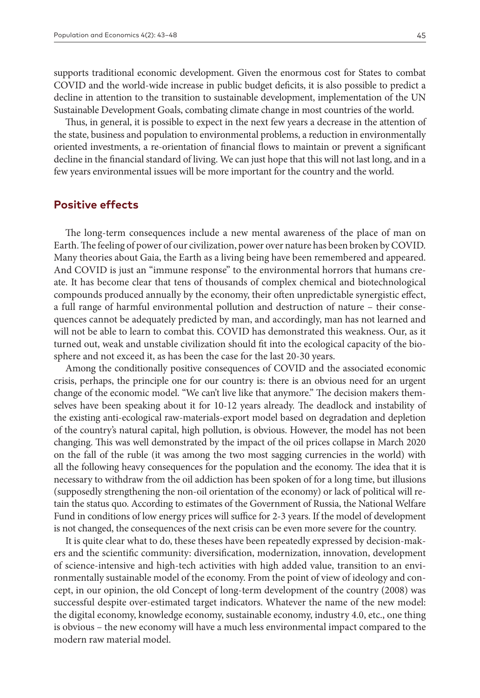supports traditional economic development. Given the enormous cost for States to combat COVID and the world-wide increase in public budget deficits, it is also possible to predict a decline in attention to the transition to sustainable development, implementation of the UN Sustainable Development Goals, combating climate change in most countries of the world.

Thus, in general, it is possible to expect in the next few years a decrease in the attention of the state, business and population to environmental problems, a reduction in environmentally oriented investments, a re-orientation of financial flows to maintain or prevent a significant decline in the financial standard of living. We can just hope that this will not last long, and in a few years environmental issues will be more important for the country and the world.

### **Positive effects**

The long-term consequences include a new mental awareness of the place of man on Earth. The feeling of power of our civilization, power over nature has been broken by COVID. Many theories about Gaia, the Earth as a living being have been remembered and appeared. And COVID is just an "immune response" to the environmental horrors that humans create. It has become clear that tens of thousands of complex chemical and biotechnological compounds produced annually by the economy, their often unpredictable synergistic effect, a full range of harmful environmental pollution and destruction of nature – their consequences cannot be adequately predicted by man, and accordingly, man has not learned and will not be able to learn to combat this. COVID has demonstrated this weakness. Our, as it turned out, weak and unstable civilization should fit into the ecological capacity of the biosphere and not exceed it, as has been the case for the last 20-30 years.

Among the conditionally positive consequences of COVID and the associated economic crisis, perhaps, the principle one for our country is: there is an obvious need for an urgent change of the economic model. "We can't live like that anymore." The decision makers themselves have been speaking about it for 10-12 years already. The deadlock and instability of the existing anti-ecological raw-materials-export model based on degradation and depletion of the country's natural capital, high pollution, is obvious. However, the model has not been changing. This was well demonstrated by the impact of the oil prices collapse in March 2020 on the fall of the ruble (it was among the two most sagging currencies in the world) with all the following heavy consequences for the population and the economy. The idea that it is necessary to withdraw from the oil addiction has been spoken of for a long time, but illusions (supposedly strengthening the non-oil orientation of the economy) or lack of political will retain the status quo. According to estimates of the Government of Russia, the National Welfare Fund in conditions of low energy prices will suffice for 2-3 years. If the model of development is not changed, the consequences of the next crisis can be even more severe for the country.

It is quite clear what to do, these theses have been repeatedly expressed by decision-makers and the scientific community: diversification, modernization, innovation, development of science-intensive and high-tech activities with high added value, transition to an environmentally sustainable model of the economy. From the point of view of ideology and concept, in our opinion, the old Concept of long-term development of the country (2008) was successful despite over-estimated target indicators. Whatever the name of the new model: the digital economy, knowledge economy, sustainable economy, industry 4.0, etc., one thing is obvious – the new economy will have a much less environmental impact compared to the modern raw material model.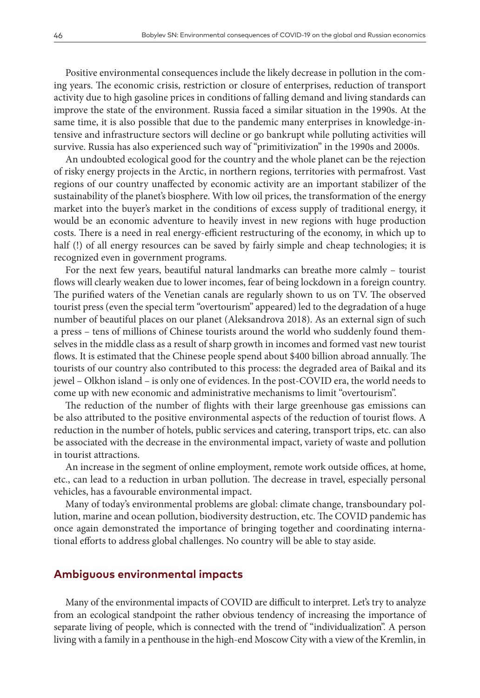Positive environmental consequences include the likely decrease in pollution in the coming years. The economic crisis, restriction or closure of enterprises, reduction of transport activity due to high gasoline prices in conditions of falling demand and living standards can improve the state of the environment. Russia faced a similar situation in the 1990s. At the same time, it is also possible that due to the pandemic many enterprises in knowledge-intensive and infrastructure sectors will decline or go bankrupt while polluting activities will survive. Russia has also experienced such way of "primitivization" in the 1990s and 2000s.

An undoubted ecological good for the country and the whole planet can be the rejection of risky energy projects in the Arctic, in northern regions, territories with permafrost. Vast regions of our country unaffected by economic activity are an important stabilizer of the sustainability of the planet's biosphere. With low oil prices, the transformation of the energy market into the buyer's market in the conditions of excess supply of traditional energy, it would be an economic adventure to heavily invest in new regions with huge production costs. There is a need in real energy-efficient restructuring of the economy, in which up to half (!) of all energy resources can be saved by fairly simple and cheap technologies; it is recognized even in government programs.

For the next few years, beautiful natural landmarks can breathe more calmly – tourist flows will clearly weaken due to lower incomes, fear of being lockdown in a foreign country. The purified waters of the Venetian canals are regularly shown to us on TV. The observed tourist press (even the special term "overtourism" appeared) led to the degradation of a huge number of beautiful places on our planet (Aleksandrova 2018). As an external sign of such a press – tens of millions of Chinese tourists around the world who suddenly found themselves in the middle class as a result of sharp growth in incomes and formed vast new tourist flows. It is estimated that the Chinese people spend about \$400 billion abroad annually. The tourists of our country also contributed to this process: the degraded area of Baikal and its jewel – Olkhon island – is only one of evidences. In the post-COVID era, the world needs to come up with new economic and administrative mechanisms to limit "overtourism".

The reduction of the number of flights with their large greenhouse gas emissions can be also attributed to the positive environmental aspects of the reduction of tourist flows. A reduction in the number of hotels, public services and catering, transport trips, etc. can also be associated with the decrease in the environmental impact, variety of waste and pollution in tourist attractions.

An increase in the segment of online employment, remote work outside offices, at home, etc., can lead to a reduction in urban pollution. The decrease in travel, especially personal vehicles, has a favourable environmental impact.

Many of today's environmental problems are global: climate change, transboundary pollution, marine and ocean pollution, biodiversity destruction, etc. The COVID pandemic has once again demonstrated the importance of bringing together and coordinating international efforts to address global challenges. No country will be able to stay aside.

### **Ambiguous environmental impacts**

Many of the environmental impacts of COVID are difficult to interpret. Let's try to analyze from an ecological standpoint the rather obvious tendency of increasing the importance of separate living of people, which is connected with the trend of "individualization". A person living with a family in a penthouse in the high-end Moscow City with a view of the Kremlin, in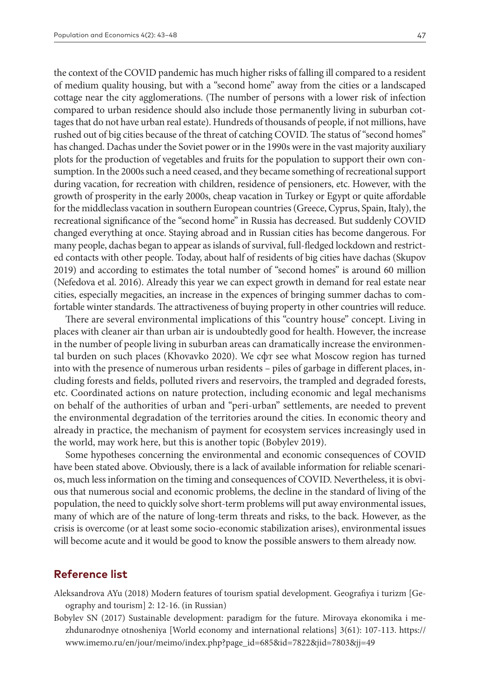the context of the COVID pandemic has much higher risks of falling ill compared to a resident of medium quality housing, but with a "second home" away from the cities or a landscaped cottage near the city agglomerations. (The number of persons with a lower risk of infection compared to urban residence should also include those permanently living in suburban cottages that do not have urban real estate). Hundreds of thousands of people, if not millions, have rushed out of big cities because of the threat of catching COVID. The status of "second homes" has changed. Dachas under the Soviet power or in the 1990s were in the vast majority auxiliary plots for the production of vegetables and fruits for the population to support their own consumption. In the 2000s such a need ceased, and they became something of recreational support during vacation, for recreation with children, residence of pensioners, etc. However, with the growth of prosperity in the early 2000s, cheap vacation in Turkey or Egypt or quite affordable for the middleclass vacation in southern European countries (Greece, Cyprus, Spain, Italy), the recreational significance of the "second home" in Russia has decreased. But suddenly COVID changed everything at once. Staying abroad and in Russian cities has become dangerous. For many people, dachas began to appear as islands of survival, full-fledged lockdown and restricted contacts with other people. Today, about half of residents of big cities have dachas (Skupov 2019) and according to estimates the total number of "second homes" is around 60 million (Nefedova et al. 2016). Already this year we can expect growth in demand for real estate near cities, especially megacities, an increase in the expences of bringing summer dachas to comfortable winter standards. The attractiveness of buying property in other countries will reduce.

There are several environmental implications of this "country house" concept. Living in places with cleaner air than urban air is undoubtedly good for health. However, the increase in the number of people living in suburban areas can dramatically increase the environmental burden on such places (Khovavko 2020). We сфт see what Moscow region has turned into with the presence of numerous urban residents – piles of garbage in different places, including forests and fields, polluted rivers and reservoirs, the trampled and degraded forests, etc. Coordinated actions on nature protection, including economic and legal mechanisms on behalf of the authorities of urban and "peri-urban" settlements, are needed to prevent the environmental degradation of the territories around the cities. In economic theory and already in practice, the mechanism of payment for ecosystem services increasingly used in the world, may work here, but this is another topic (Bobylev 2019).

Some hypotheses concerning the environmental and economic consequences of COVID have been stated above. Obviously, there is a lack of available information for reliable scenarios, much less information on the timing and consequences of COVID. Nevertheless, it is obvious that numerous social and economic problems, the decline in the standard of living of the population, the need to quickly solve short-term problems will put away environmental issues, many of which are of the nature of long-term threats and risks, to the back. However, as the crisis is overcome (or at least some socio-economic stabilization arises), environmental issues will become acute and it would be good to know the possible answers to them already now.

# **Reference list**

- Aleksandrova AYu (2018) Modern features of tourism spatial development. Geografiya i turizm [Geography and tourism] 2: 12-16. (in Russian)
- Bobylev SN (2017) Sustainable development: paradigm for the future. Mirovaya ekonomika i mezhdunarodnye otnosheniya [World economy and international relations] 3(61): 107-113. [https://](https://www.imemo.ru/en/jour/meimo/index.php?page_id=685&id=7822&jid=7803&jj=49) [www.imemo.ru/en/jour/meimo/index.php?page\\_id=685&id=7822&jid=7803&jj=49](https://www.imemo.ru/en/jour/meimo/index.php?page_id=685&id=7822&jid=7803&jj=49)